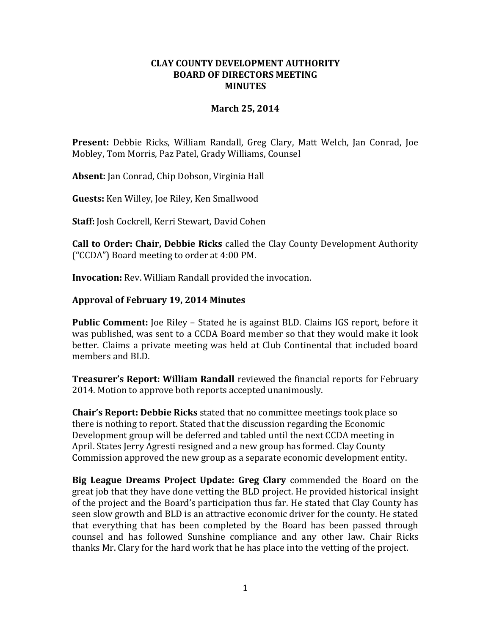### **CLAY COUNTY DEVELOPMENT AUTHORITY BOARD OF DIRECTORS MEETING MINUTES**

### **March 25, 2014**

**Present:** Debbie Ricks, William Randall, Greg Clary, Matt Welch, Jan Conrad, Joe Mobley, Tom Morris, Paz Patel, Grady Williams, Counsel

**Absent:** Jan Conrad, Chip Dobson, Virginia Hall

**Guests:** Ken Willey, Joe Riley, Ken Smallwood

**Staff:** Josh Cockrell, Kerri Stewart, David Cohen

**Call to Order: Chair, Debbie Ricks** called the Clay County Development Authority ("CCDA") Board meeting to order at 4:00 PM.

**Invocation:** Rev. William Randall provided the invocation.

# **Approval of February 19, 2014 Minutes**

**Public Comment:** Joe Riley – Stated he is against BLD. Claims IGS report, before it was published, was sent to a CCDA Board member so that they would make it look better. Claims a private meeting was held at Club Continental that included board members and BLD.

**Treasurer's Report: William Randall** reviewed the financial reports for February 2014. Motion to approve both reports accepted unanimously.

**Chair's Report: Debbie Ricks** stated that no committee meetings took place so there is nothing to report. Stated that the discussion regarding the Economic Development group will be deferred and tabled until the next CCDA meeting in April. States Jerry Agresti resigned and a new group has formed. Clay County Commission approved the new group as a separate economic development entity.

**Big League Dreams Project Update: Greg Clary** commended the Board on the great job that they have done vetting the BLD project. He provided historical insight of the project and the Board's participation thus far. He stated that Clay County has seen slow growth and BLD is an attractive economic driver for the county. He stated that everything that has been completed by the Board has been passed through counsel and has followed Sunshine compliance and any other law. Chair Ricks thanks Mr. Clary for the hard work that he has place into the vetting of the project.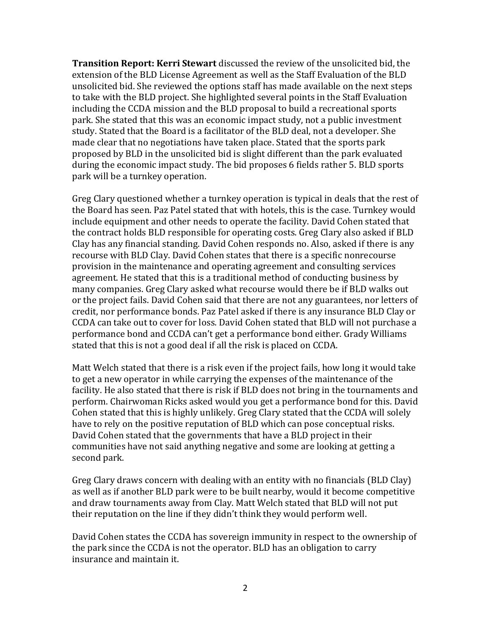**Transition Report: Kerri Stewart** discussed the review of the unsolicited bid, the extension of the BLD License Agreement as well as the Staff Evaluation of the BLD unsolicited bid. She reviewed the options staff has made available on the next steps to take with the BLD project. She highlighted several points in the Staff Evaluation including the CCDA mission and the BLD proposal to build a recreational sports park. She stated that this was an economic impact study, not a public investment study. Stated that the Board is a facilitator of the BLD deal, not a developer. She made clear that no negotiations have taken place. Stated that the sports park proposed by BLD in the unsolicited bid is slight different than the park evaluated during the economic impact study. The bid proposes 6 fields rather 5. BLD sports park will be a turnkey operation.

Greg Clary questioned whether a turnkey operation is typical in deals that the rest of the Board has seen. Paz Patel stated that with hotels, this is the case. Turnkey would include equipment and other needs to operate the facility. David Cohen stated that the contract holds BLD responsible for operating costs. Greg Clary also asked if BLD Clay has any financial standing. David Cohen responds no. Also, asked if there is any recourse with BLD Clay. David Cohen states that there is a specific nonrecourse provision in the maintenance and operating agreement and consulting services agreement. He stated that this is a traditional method of conducting business by many companies. Greg Clary asked what recourse would there be if BLD walks out or the project fails. David Cohen said that there are not any guarantees, nor letters of credit, nor performance bonds. Paz Patel asked if there is any insurance BLD Clay or CCDA can take out to cover for loss. David Cohen stated that BLD will not purchase a performance bond and CCDA can't get a performance bond either. Grady Williams stated that this is not a good deal if all the risk is placed on CCDA.

Matt Welch stated that there is a risk even if the project fails, how long it would take to get a new operator in while carrying the expenses of the maintenance of the facility. He also stated that there is risk if BLD does not bring in the tournaments and perform. Chairwoman Ricks asked would you get a performance bond for this. David Cohen stated that this is highly unlikely. Greg Clary stated that the CCDA will solely have to rely on the positive reputation of BLD which can pose conceptual risks. David Cohen stated that the governments that have a BLD project in their communities have not said anything negative and some are looking at getting a second park.

Greg Clary draws concern with dealing with an entity with no financials (BLD Clay) as well as if another BLD park were to be built nearby, would it become competitive and draw tournaments away from Clay. Matt Welch stated that BLD will not put their reputation on the line if they didn't think they would perform well.

David Cohen states the CCDA has sovereign immunity in respect to the ownership of the park since the CCDA is not the operator. BLD has an obligation to carry insurance and maintain it.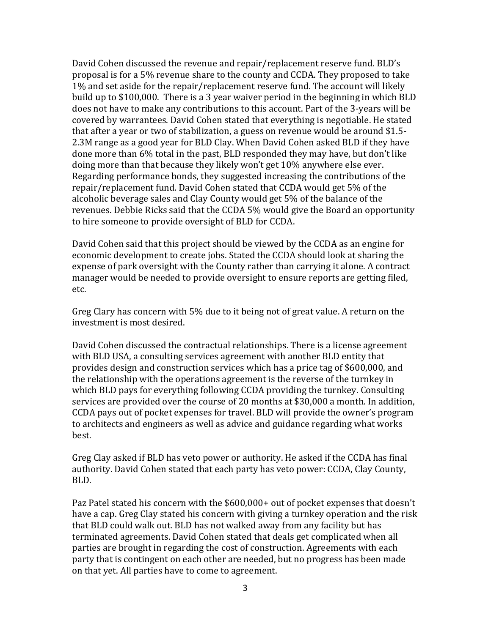David Cohen discussed the revenue and repair/replacement reserve fund. BLD's proposal is for a 5% revenue share to the county and CCDA. They proposed to take 1% and set aside for the repair/replacement reserve fund. The account will likely build up to \$100,000. There is a 3 year waiver period in the beginning in which BLD does not have to make any contributions to this account. Part of the 3-years will be covered by warrantees. David Cohen stated that everything is negotiable. He stated that after a year or two of stabilization, a guess on revenue would be around \$1.5- 2.3M range as a good year for BLD Clay. When David Cohen asked BLD if they have done more than 6% total in the past, BLD responded they may have, but don't like doing more than that because they likely won't get 10% anywhere else ever. Regarding performance bonds, they suggested increasing the contributions of the repair/replacement fund. David Cohen stated that CCDA would get 5% of the alcoholic beverage sales and Clay County would get 5% of the balance of the revenues. Debbie Ricks said that the CCDA 5% would give the Board an opportunity to hire someone to provide oversight of BLD for CCDA.

David Cohen said that this project should be viewed by the CCDA as an engine for economic development to create jobs. Stated the CCDA should look at sharing the expense of park oversight with the County rather than carrying it alone. A contract manager would be needed to provide oversight to ensure reports are getting filed, etc.

Greg Clary has concern with 5% due to it being not of great value. A return on the investment is most desired.

David Cohen discussed the contractual relationships. There is a license agreement with BLD USA, a consulting services agreement with another BLD entity that provides design and construction services which has a price tag of \$600,000, and the relationship with the operations agreement is the reverse of the turnkey in which BLD pays for everything following CCDA providing the turnkey. Consulting services are provided over the course of 20 months at \$30,000 a month. In addition, CCDA pays out of pocket expenses for travel. BLD will provide the owner's program to architects and engineers as well as advice and guidance regarding what works best.

Greg Clay asked if BLD has veto power or authority. He asked if the CCDA has final authority. David Cohen stated that each party has veto power: CCDA, Clay County, BLD.

Paz Patel stated his concern with the \$600,000+ out of pocket expenses that doesn't have a cap. Greg Clay stated his concern with giving a turnkey operation and the risk that BLD could walk out. BLD has not walked away from any facility but has terminated agreements. David Cohen stated that deals get complicated when all parties are brought in regarding the cost of construction. Agreements with each party that is contingent on each other are needed, but no progress has been made on that yet. All parties have to come to agreement.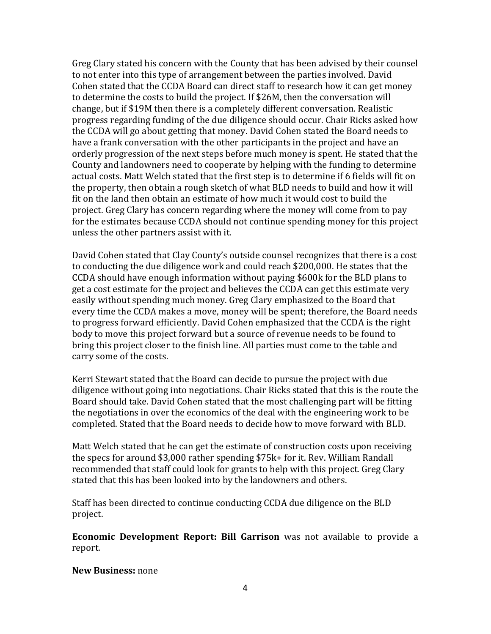Greg Clary stated his concern with the County that has been advised by their counsel to not enter into this type of arrangement between the parties involved. David Cohen stated that the CCDA Board can direct staff to research how it can get money to determine the costs to build the project. If \$26M, then the conversation will change, but if \$19M then there is a completely different conversation. Realistic progress regarding funding of the due diligence should occur. Chair Ricks asked how the CCDA will go about getting that money. David Cohen stated the Board needs to have a frank conversation with the other participants in the project and have an orderly progression of the next steps before much money is spent. He stated that the County and landowners need to cooperate by helping with the funding to determine actual costs. Matt Welch stated that the first step is to determine if 6 fields will fit on the property, then obtain a rough sketch of what BLD needs to build and how it will fit on the land then obtain an estimate of how much it would cost to build the project. Greg Clary has concern regarding where the money will come from to pay for the estimates because CCDA should not continue spending money for this project unless the other partners assist with it.

David Cohen stated that Clay County's outside counsel recognizes that there is a cost to conducting the due diligence work and could reach \$200,000. He states that the CCDA should have enough information without paying \$600k for the BLD plans to get a cost estimate for the project and believes the CCDA can get this estimate very easily without spending much money. Greg Clary emphasized to the Board that every time the CCDA makes a move, money will be spent; therefore, the Board needs to progress forward efficiently. David Cohen emphasized that the CCDA is the right body to move this project forward but a source of revenue needs to be found to bring this project closer to the finish line. All parties must come to the table and carry some of the costs.

Kerri Stewart stated that the Board can decide to pursue the project with due diligence without going into negotiations. Chair Ricks stated that this is the route the Board should take. David Cohen stated that the most challenging part will be fitting the negotiations in over the economics of the deal with the engineering work to be completed. Stated that the Board needs to decide how to move forward with BLD.

Matt Welch stated that he can get the estimate of construction costs upon receiving the specs for around \$3,000 rather spending \$75k+ for it. Rev. William Randall recommended that staff could look for grants to help with this project. Greg Clary stated that this has been looked into by the landowners and others.

Staff has been directed to continue conducting CCDA due diligence on the BLD project.

**Economic Development Report: Bill Garrison** was not available to provide a report.

### **New Business:** none